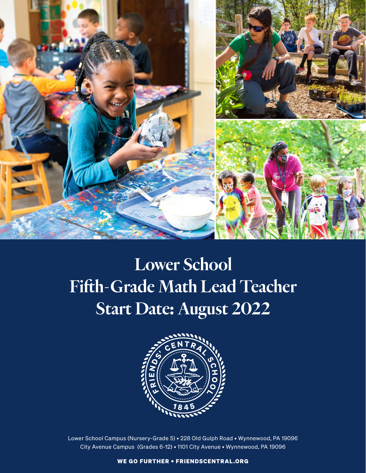

# Lower School Fifth-Grade Math Lead Teacher Start Date: August 2022



Lower School Campus (Nursery-Grade 5) • 228 Old Gulph Road • Wynnewood, PA 19096 City Avenue Campus (Grades 6-12) • 1101 City Avenue • Wynnewood, PA 19096

WE GO FURTHER • FRIENDSCENTRAL.ORG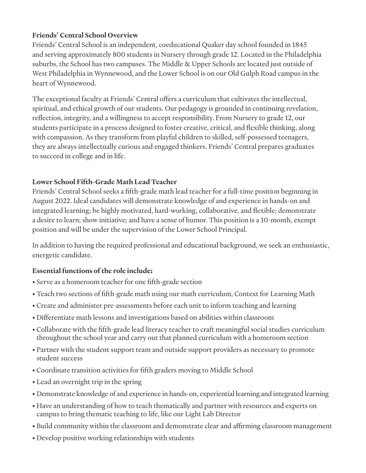### **Friends' Central School Overview**

Friends' Central School is an independent, coeducational Quaker day school founded in 1845 and serving approximately 800 students in Nursery through grade 12. Located in the Philadelphia suburbs, the School has two campuses. The Middle & Upper Schools are located just outside of West Philadelphia in Wynnewood, and the Lower School is on our Old Gulph Road campus in the heart of Wynnewood.

The exceptional faculty at Friends' Central offers a curriculum that cultivates the intellectual, spiritual, and ethical growth of our students. Our pedagogy is grounded in continuing revelation, reflection, integrity, and a willingness to accept responsibility. From Nursery to grade 12, our students participate in a process designed to foster creative, critical, and flexible thinking, along with compassion. As they transform from playful children to skilled, self-possessed teenagers, they are always intellectually curious and engaged thinkers. Friends' Central prepares graduates to succeed in college and in life.

## **Lower School Fifth-Grade Math Lead Teacher**

Friends' Central School seeks a fifth-grade math lead teacher for a full-time position beginning in August 2022. Ideal candidates will demonstrate knowledge of and experience in hands-on and integrated learning; be highly motivated, hard-working, collaborative, and flexible; demonstrate a desire to learn; show initiative; and have a sense of humor. This position is a 10-month, exempt position and will be under the supervision of the Lower School Principal.

In addition to having the required professional and educational background, we seek an enthusiastic, energetic candidate.

# **Essential functions of the role include:**

- Serve as a homeroom teacher for one fifth-grade section
- Teach two sections of fifth-grade math using our math curriculum, Context for Learning Math
- Create and administer pre-assessments before each unit to inform teaching and learning
- Differentiate math lessons and investigations based on abilities within classroom
- Collaborate with the fifth-grade lead literacy teacher to craft meaningful social studies curriculum throughout the school year and carry out that planned curriculum with a homeroom section
- Partner with the student support team and outside support providers as necessary to promote student success
- Coordinate transition activities for fifth graders moving to Middle School
- Lead an overnight trip in the spring
- Demonstrate knowledge of and experience in hands-on, experiential learning and integrated learning
- Have an understanding of how to teach thematically and partner with resources and experts on campus to bring thematic teaching to life, like our Light Lab Director
- Build community within the classroom and demonstrate clear and affirming classroom management
- Develop positive working relationships with students